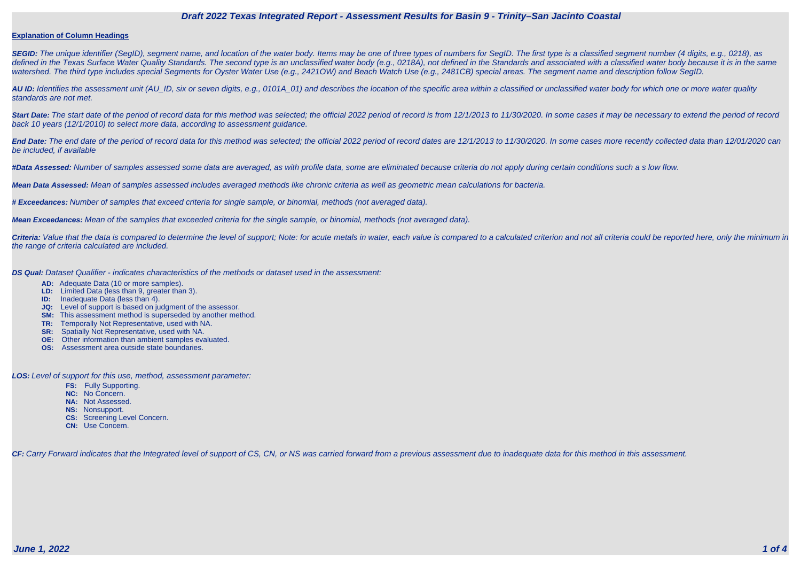#### **Explanation of Column Headings**

SEGID: The unique identifier (SegID), segment name, and location of the water body. Items may be one of three types of numbers for SegID. The first type is a classified segment number (4 digits, e.g., 0218), as defined in the Texas Surface Water Quality Standards. The second type is an unclassified water body (e.g., 0218A), not defined in the Standards and associated with a classified water body because it is in the same watershed. The third type includes special Segments for Oyster Water Use (e.g., 2421OW) and Beach Watch Use (e.g., 2481CB) special areas. The segment name and description follow SegID.

**AU ID:** Identifies the assessment unit (AU\_ID, six or seven digits, e.g., 0101A\_01) and describes the location of the specific area within a classified or unclassified water body for which one or more water quality standards are not met.

Start Date: The start date of the period of record data for this method was selected; the official 2022 period of record is from 12/1/2013 to 11/30/2020. In some cases it may be necessary to extend the period of record back 10 years (12/1/2010) to select more data, according to assessment guidance.

End Date: The end date of the period of record data for this method was selected; the official 2022 period of record dates are 12/1/2013 to 11/30/2020. In some cases more recently collected data than 12/01/2020 can be included, if available

Criteria: Value that the data is compared to determine the level of support; Note: for acute metals in water, each value is compared to a calculated criterion and not all criteria could be reported here, only the minimum i the range of criteria calculated are included.

**#Data Assessed:** Number of samples assessed some data are averaged, as with profile data, some are eliminated because criteria do not apply during certain conditions such a s low flow.

**Mean Data Assessed:** Mean of samples assessed includes averaged methods like chronic criteria as well as geometric mean calculations for bacteria.

**# Exceedances:** Number of samples that exceed criteria for single sample, or binomial, methods (not averaged data).

**Mean Exceedances:** Mean of the samples that exceeded criteria for the single sample, or binomial, methods (not averaged data).

**DS Qual:** Dataset Qualifier - indicates characteristics of the methods or dataset used in the assessment:

- **AD:** Adequate Data (10 or more samples).
- **LD:** Limited Data (less than 9, greater than 3).
- **ID:** Inadequate Data (less than 4).
- **JQ:** Level of support is based on judgment of the assessor.
- **SM:** This assessment method is superseded by another method.
- **TR:** Temporally Not Representative, used with NA.
- **SR:** Spatially Not Representative, used with NA.
- **OE:** Other information than ambient samples evaluated.
- **OS:** Assessment area outside state boundaries.

**LOS:** Level of support for this use, method, assessment parameter:

- **FS:** Fully Supporting.
- **NC:** No Concern.
- **NA:** Not Assessed.
- **NS:** Nonsupport.
- **CS:** Screening Level Concern.
- **CN:** Use Concern.

CF: Carry Forward indicates that the Integrated level of support of CS, CN, or NS was carried forward from a previous assessment due to inadequate data for this method in this assessment.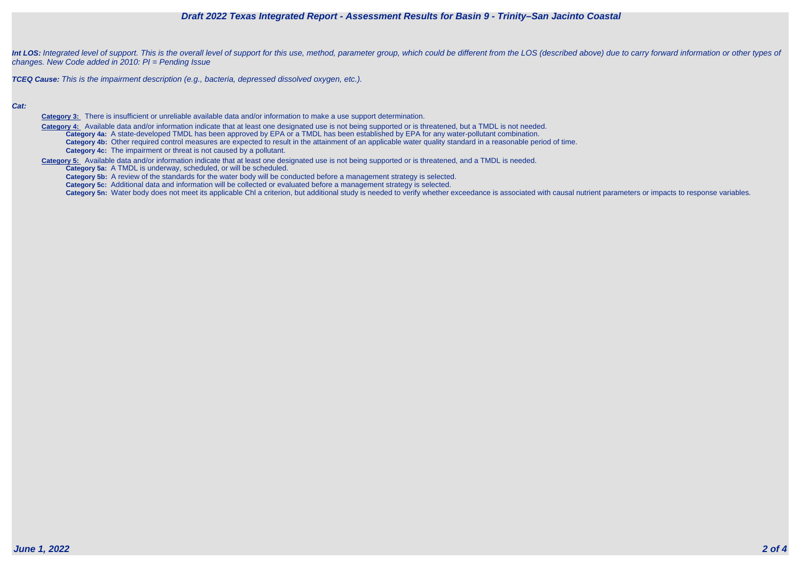



Int LOS: Integrated level of support. This is the overall level of support for this use, method, parameter group, which could be different from the LOS (described above) due to carry forward information or other types of changes. New Code added in 2010: PI = Pending Issue

**TCEQ Cause:** This is the impairment description (e.g., bacteria, depressed dissolved oxygen, etc.).

### **Cat:**

Category 4: Available data and/or information indicate that at least one designated use is not being supported or is threatened, but a TMDL is not needed. **Category 4a:** A state-developed TMDL has been approved by EPA or a TMDL has been established by EPA for any water-pollutant combination. **Category 4b:** Other required control measures are expected to result in the attainment of an applicable water quality standard in a reasonable period of time.

**Category 3:** There is insufficient or unreliable available data and/or information to make a use support determination.

**Category 4c:** The impairment or threat is not caused by a pollutant.

**Category 5:** Available data and/or information indicate that at least one designated use is not being supported or is threatened, and a TMDL is needed.

**Category 5a:** A TMDL is underway, scheduled, or will be scheduled.

**Category 5b:** A review of the standards for the water body will be conducted before a management strategy is selected.

**Category 5c:** Additional data and information will be collected or evaluated before a management strategy is selected.

Category 5n: Water body does not meet its applicable Chl a criterion, but additional study is needed to verify whether exceedance is associated with causal nutrient parameters or impacts to response variables.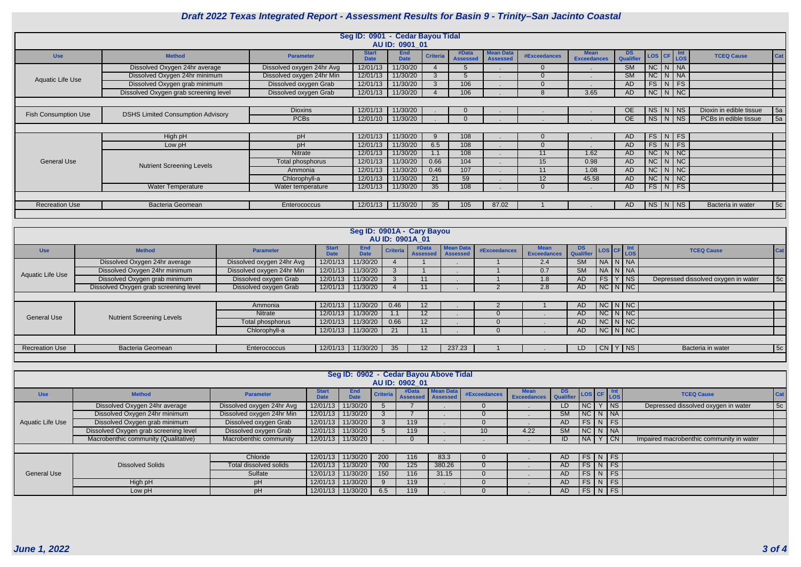

|                             | Seg ID: 0901 - Cedar Bayou Tidal         |                           |                             |                           |                 |                          |                                     |                     |                                   |                        |            |                    |  |                         |     |
|-----------------------------|------------------------------------------|---------------------------|-----------------------------|---------------------------|-----------------|--------------------------|-------------------------------------|---------------------|-----------------------------------|------------------------|------------|--------------------|--|-------------------------|-----|
|                             |                                          |                           |                             | AU ID: 0901 01            |                 |                          |                                     |                     |                                   |                        |            |                    |  |                         |     |
| <b>Use</b>                  | <b>Method</b>                            | <b>Parameter</b>          | <b>Start</b><br><b>Date</b> | <b>End</b><br><b>Date</b> | <b>Criteria</b> | #Data<br><b>Assessed</b> | <b>Mean Data</b><br><b>Assessed</b> | <b>#Exceedances</b> | <b>Mean</b><br><b>Exceedances</b> | <b>DS</b><br>Qualifier | LOS CF Int |                    |  | <b>TCEQ Cause</b>       | Cat |
|                             | Dissolved Oxygen 24hr average            | Dissolved oxygen 24hr Avg | 12/01/13                    | 11/30/20                  |                 |                          |                                     | $\Omega$            |                                   | <b>SM</b>              |            | $NC$   $N$   $NA$  |  |                         |     |
| Aquatic Life Use            | Dissolved Oxygen 24hr minimum            | Dissolved oxygen 24hr Min | 12/01/13                    | 11/30/20                  |                 |                          |                                     |                     |                                   | SM                     |            | $NC$ $N$ $NA$      |  |                         |     |
|                             | Dissolved Oxygen grab minimum            | Dissolved oxygen Grab     | 12/01/13                    | 11/30/20                  |                 | 106                      |                                     |                     |                                   | <b>AD</b>              |            | FS N FS            |  |                         |     |
|                             | Dissolved Oxygen grab screening level    | Dissolved oxygen Grab     | 12/01/13                    | 11/30/20                  |                 | 106                      |                                     |                     | 3.65                              | <b>AD</b>              |            | $NC$ $N$ $NC$      |  |                         |     |
|                             |                                          |                           |                             |                           |                 |                          |                                     |                     |                                   |                        |            |                    |  |                         |     |
| <b>Fish Consumption Use</b> | <b>DSHS Limited Consumption Advisory</b> | <b>Dioxins</b>            | 12/01/13                    | 11/30/20                  |                 |                          |                                     |                     |                                   | <b>OE</b>              |            | $NS$   N   NS      |  | Dioxin in edible tissue | 5a  |
|                             |                                          | <b>PCBs</b>               | 12/01/10                    | 11/30/20                  |                 |                          |                                     |                     |                                   | <b>OE</b>              |            | $NS$   N   NS      |  | PCBs in edible tissue   | 5a  |
|                             |                                          |                           |                             |                           |                 |                          |                                     |                     |                                   |                        |            |                    |  |                         |     |
|                             | High pH                                  | pH                        | 12/01/13                    | 11/30/20                  |                 | 108                      |                                     |                     |                                   | <b>AD</b>              |            | $FS\mid N \mid FS$ |  |                         |     |
|                             | Low pH                                   | pH                        | 12/01/13                    | 11/30/20                  | 6.5             | 108                      |                                     | $\Omega$            |                                   | <b>AD</b>              |            | $FS$ $N$ $FS$      |  |                         |     |
|                             |                                          | Nitrate                   | 12/01/13                    | 11/30/20                  |                 | 108                      |                                     | 11                  | 1.62                              | <b>AD</b>              |            | $NC$ $N$ $NC$      |  |                         |     |
| <b>General Use</b>          | <b>Nutrient Screening Levels</b>         | Total phosphorus          | 12/01/13                    | 11/30/20                  | 0.66            | 104                      |                                     | 15                  | 0.98                              | <b>AD</b>              |            | $NC$ $N$ $NC$      |  |                         |     |
|                             |                                          | Ammonia                   | 12/01/13                    | 11/30/20                  | 0.46            | 107                      |                                     | 11                  | 1.08                              | <b>AD</b>              | NC         | $\vert N \vert NC$ |  |                         |     |
|                             |                                          | Chlorophyll-a             | 12/01/13                    | 11/30/20                  | 21              | 59                       |                                     | 12                  | 45.58                             | <b>AD</b>              |            | $NC$ $N$ $NC$      |  |                         |     |
|                             | <b>Water Temperature</b>                 | Water temperature         | 12/01/13                    | 11/30/20                  | 35              | 108                      |                                     |                     |                                   | AD.                    |            | $FS$ $N$ $FS$      |  |                         |     |
|                             |                                          |                           |                             |                           |                 |                          |                                     |                     |                                   |                        |            |                    |  |                         |     |
| <b>Recreation Use</b>       | <b>Bacteria Geomean</b>                  | Enterococcus              | 12/01/13                    | 11/30/20                  | 35              | 105                      | 87.02                               |                     |                                   | AD.                    |            | $NS$ $N$ $NS$      |  | Bacteria in water       | 5c  |
|                             |                                          |                           |                             |                           |                 |                          |                                     |                     |                                   |                        |            |                    |  |                         |     |

|                       |                                       |                           |                             | Seg ID: 0901A - Cary Bayou |                 |                          |                                     |              |                                   |                        |    |                       |                                     |            |
|-----------------------|---------------------------------------|---------------------------|-----------------------------|----------------------------|-----------------|--------------------------|-------------------------------------|--------------|-----------------------------------|------------------------|----|-----------------------|-------------------------------------|------------|
|                       |                                       |                           |                             |                            |                 | AU ID: 0901A_01          |                                     |              |                                   |                        |    |                       |                                     |            |
| <b>Use</b>            | <b>Method</b>                         | <b>Parameter</b>          | <b>Start</b><br><b>Date</b> | <b>End</b><br><b>Date</b>  | <b>Criteria</b> | #Data<br><b>Assessed</b> | <b>Mean Data</b><br><b>Assessed</b> | #Exceedances | <b>Mean</b><br><b>Exceedances</b> | <b>DS</b><br>Qualifier |    | LOS CF LOS            | <b>TCEQ Cause</b>                   | <b>Cat</b> |
| Aquatic Life Use      | Dissolved Oxygen 24hr average         | Dissolved oxygen 24hr Avg | 12/01/13                    | 11/30/20                   |                 |                          |                                     |              | 2.4                               | <b>SM</b>              |    | NA N NA               |                                     |            |
|                       | Dissolved Oxygen 24hr minimum         | Dissolved oxygen 24hr Min | 12/01/13                    | 11/30/20                   |                 |                          |                                     |              | 0.7                               | <b>SM</b>              |    | NA N NA               |                                     |            |
|                       | Dissolved Oxygen grab minimum         | Dissolved oxygen Grab     | 12/01/13                    | 11/30/20                   |                 |                          |                                     |              | 1.8                               | AD.                    | FS | $ $ NS                | Depressed dissolved oxygen in water | 5c         |
|                       | Dissolved Oxygen grab screening level | Dissolved oxygen Grab     | 12/01/13                    | 11/30/20                   |                 | 11                       |                                     |              | 2.8                               | AD.                    |    | $NC$ $N$ $NC$         |                                     |            |
|                       |                                       |                           |                             |                            |                 |                          |                                     |              |                                   |                        |    |                       |                                     |            |
|                       |                                       | Ammonia                   | 12/01/13                    | 11/30/20                   | 0.46            | $12 \overline{ }$        |                                     |              |                                   | AD.                    |    | $NC\mid N\mid NC\mid$ |                                     |            |
| <b>General Use</b>    |                                       | Nitrate                   | 12/01/13                    | 11/30/20                   | 1.1             | 12 <sub>1</sub>          |                                     |              |                                   | AD                     |    | $NC$ $N$ $NC$         |                                     |            |
|                       | <b>Nutrient Screening Levels</b>      | Total phosphorus          | 12/01/13                    | 11/30/20                   | 0.66            | 12 <sup>2</sup>          |                                     |              |                                   | AD                     |    | $NC$ $N$ $NC$         |                                     |            |
|                       |                                       | Chlorophyll-a             | 12/01/13                    | 11/30/20                   | 21              | 11                       |                                     |              |                                   | AD                     |    | $NC\mid N\mid NC\mid$ |                                     |            |
|                       |                                       |                           |                             |                            |                 |                          |                                     |              |                                   |                        |    |                       |                                     |            |
| <b>Recreation Use</b> | <b>Bacteria Geomean</b>               | Enterococcus              | 12/01/13                    | 11/30/20                   | 35              | $12 \overline{ }$        | 237.23                              |              |                                   | LD                     |    | CN/YNS                | Bacteria in water                   | 5c         |
|                       |                                       |                           |                             |                            |                 |                          |                                     |              |                                   |                        |    |                       |                                     |            |

|                    | Seg ID: 0902 - Cedar Bayou Above Tidal<br>AU ID: 0902 01 |                           |                             |                     |                 |                              |                  |                 |                            |                 |                                                            |  |                  |                                          |                 |
|--------------------|----------------------------------------------------------|---------------------------|-----------------------------|---------------------|-----------------|------------------------------|------------------|-----------------|----------------------------|-----------------|------------------------------------------------------------|--|------------------|------------------------------------------|-----------------|
| <b>Use</b>         | <b>Method</b>                                            | <b>Parameter</b>          | <b>Start</b><br><b>Date</b> | End<br><b>Date</b>  | <b>Criteria</b> | #Data<br>Assessed   Assessed | <b>Mean Data</b> | #Exceedances    | <b>Mean</b><br>Exceedances | DS<br>Qualifier | $\left  \text{Los} \right $ CF $\left  \text{LOS} \right $ |  | <b>Int</b>       | <b>TCEQ Cause</b>                        | <sub>Ca</sub>   |
|                    | Dissolved Oxygen 24hr average                            | Dissolved oxygen 24hr Avg | 12/01/13                    | 11/30/20            |                 |                              |                  |                 |                            | LD.             | NC                                                         |  | <b>NS</b>        | Depressed dissolved oxygen in water      | $\overline{5c}$ |
| Aquatic Life Use   | Dissolved Oxygen 24hr minimum                            | Dissolved oxygen 24hr Min | 12/01/13                    | 11/30/20            |                 |                              |                  |                 |                            | <b>SM</b>       | $NC$ $N$ $NA$                                              |  |                  |                                          |                 |
|                    | Dissolved Oxygen grab minimum                            | Dissolved oxygen Grab     | 12/01/13                    | 11/30/20            |                 | 119                          |                  |                 |                            | AD              | $FS\mid N \mid FS \mid$                                    |  |                  |                                          |                 |
|                    | Dissolved Oxygen grab screening level                    | Dissolved oxygen Grab     | 12/01/13                    | 11/30/20            |                 | 119                          |                  | 10 <sup>°</sup> | 4.22                       | <b>SM</b>       | $NC$ $N$ $NA$                                              |  |                  |                                          |                 |
|                    | Macrobenthic community (Qualitative)                     | Macrobenthic community    |                             | 12/01/13   11/30/20 |                 |                              |                  |                 |                            | ID              | NA                                                         |  | $Y$ $\boxed{CN}$ | Impaired macrobenthic community in water |                 |
|                    |                                                          |                           |                             |                     |                 |                              |                  |                 |                            |                 |                                                            |  |                  |                                          |                 |
|                    |                                                          | Chloride                  | 12/01/13                    | 11/30/20            | 200             | 116                          | 83.3             |                 |                            | AD              | $FS\mid N \mid FS$                                         |  |                  |                                          |                 |
|                    | <b>Dissolved Solids</b>                                  | Total dissolved solids    | 12/01/13                    | 11/30/20            | 700             | 125                          | 380.26           |                 |                            | AD              | $FS$ N FS                                                  |  |                  |                                          |                 |
| <b>General Use</b> |                                                          | Sulfate                   | 12/01/13                    | 11/30/20            | 150             | 116                          | 31.15            |                 |                            | AD              | $FS$ N FS                                                  |  |                  |                                          |                 |
|                    | High pH                                                  | pH                        | 12/01/13                    | 11/30/20            |                 | 119                          |                  |                 |                            | AD.             | $FS$ $N$ $FS$                                              |  |                  |                                          |                 |
|                    | Low pH                                                   | pH                        | 12/01/13                    | 11/30/20            | 6.5             | 119                          |                  |                 |                            | AD              | FS N FS                                                    |  |                  |                                          |                 |